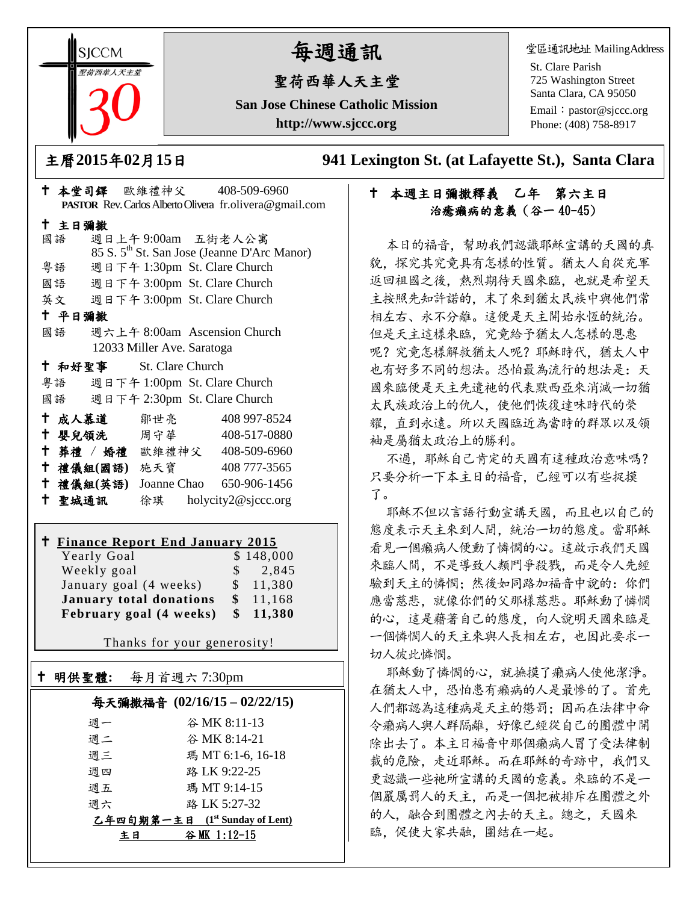**SICCM** 要益西華人天主堂 

# 每週通訊

# 聖荷西華人天主堂

**San Jose Chinese Catholic Mission http://www.sjccc.org**

堂區通訊地址 MailingAddress

St. Clare Parish 725 Washington Street Santa Clara, CA 95050

Email: [pastor@sjccc.org](mailto:pastor@sjccc.org) Phone: (408) 758-8917

主日彌撒

主曆**2015**年**02**月**15**日 **941 Lexington St. (at Lafayette St.), Santa Clara** 

## 本週主日彌撒釋義 乙年 第六主日 治癒癩病的意義(谷一 40-45)

本日的福音,幫助我們認識耶穌宣講的天國的真 貌,探究其究竟具有怎樣的性質。猶太人自從充軍 返回祖國之後,熱烈期待天國來臨,也就是希望天 主按照先知許諾的,末了來到猶太民族中與他們常 相左右、永不分離。這便是天主開始永恆的統治。 但是天主這樣來臨,究竟給予猶太人怎樣的恩惠 呢?究竟怎樣解救猶太人呢?耶穌時代,猶太人中 也有好多不同的想法。恐怕最為流行的想法是:天 國來臨便是天主先遣祂的代表默西亞來消滅一切猶 太民族政治上的仇人,使他們恢復達味時代的榮 耀,直到永遠。所以天國臨近為當時的群眾以及領 袖是屬猶太政治上的勝利。

不過, 耶穌自己肯定的天國有這種政治意味嗎? 只要分析一下本主日的福音,已經可以有些捉摸 了。

耶穌不但以言語行動宣講天國,而且也以自己的 態度表示天主來到人間,統治一切的態度。當耶穌 看見一個癩病人便動了憐憫的心。這啟示我們天國 來臨人間,不是導致人類鬥爭殺戮,而是令人先經 驗到天主的憐憫;然後如同路加福音中說的:你們 應當慈悲,就像你們的父那樣慈悲。耶穌動了憐憫 的心,這是藉著自己的態度,向人說明天國來臨是 一個憐憫人的天主來與人長相左右,也因此要求一 切人彼此憐憫。

耶穌動了憐憫的心,就撫摸了癩病人使他潔淨。 在猶太人中,恐怕患有癩病的人是最慘的了。首先 人們都認為這種病是天主的懲罰;因而在法律中命 令癩病人與人群隔離,好像已經從自己的團體中開 除出去了。本主日福音中那個癩病人冒了受法律制 裁的危險,走近耶穌。而在耶穌的奇跡中,我們又 更認識一些祂所宣講的天國的意義。來臨的不是一 個嚴厲罰人的天主,而是一個把被排斥在團體之外 的人,融合到團體之內去的天主。總之,天國來 臨,促使大家共融,團結在一起。

| ————————  |              |                                    |                                                         |  |
|-----------|--------------|------------------------------------|---------------------------------------------------------|--|
| 國語        |              | 週日上午9:00am 五街老人公寓                  |                                                         |  |
|           |              |                                    | 85 S. 5 <sup>th</sup> St. San Jose (Jeanne D'Arc Manor) |  |
| 粤語        |              |                                    | 週日下午 1:30pm St. Clare Church                            |  |
| 國語        |              |                                    | 週日下午 3:00pm St. Clare Church                            |  |
| 英文        |              |                                    | 週日下午 3:00pm St. Clare Church                            |  |
| 十 平日彌撒    |              |                                    |                                                         |  |
| 國語        |              |                                    | 週六上午 8:00am Ascension Church                            |  |
|           |              | 12033 Miller Ave. Saratoga         |                                                         |  |
|           |              | <sup>†</sup> 和好聖事 St. Clare Church |                                                         |  |
| 粤語        |              |                                    | 週日下午 1:00pm St. Clare Church                            |  |
| 國語        |              |                                    | 週日下午 2:30pm St. Clare Church                            |  |
| 十 成人慕道    |              | 鄒世亮                                | 408 997-8524                                            |  |
| + 嬰兒領洗    |              | 周守華                                | 408-517-0880                                            |  |
|           |              |                                    | † 葬禮 / 婚禮 歐維禮神父 408-509-6960                            |  |
|           | 十禮儀組(國語) 施天寶 |                                    | 408 777-3565                                            |  |
| 十 禮儀組(英語) |              | Joanne Chao                        | 650-906-1456                                            |  |

本堂司鐸 歐維禮神父 408-509-6960

**PASTOR** Rev. Carlos Alberto Olivera fr.olivera@gmail.com

#### **Finance Report End January 2015**

聖城通訊 徐琪 holycity2@sjccc.org

| Yearly Goal                    |   | \$148,000 |
|--------------------------------|---|-----------|
| Weekly goal                    | S | 2,845     |
| January goal (4 weeks)         |   | \$11,380  |
| <b>January total donations</b> |   | \$11,168  |
| February goal (4 weeks)        |   | \$11,380  |

Thanks for your generosity!

# 明供聖體**:** 每月首週六 7:30pm 每天彌撒福音 **(02/16/15 – 02/22/15)**

Ξ

| 谷 MK 8:11-13                   |  |  |  |  |
|--------------------------------|--|--|--|--|
| 谷 MK 8:14-21                   |  |  |  |  |
| 瑪 MT 6:1-6, 16-18              |  |  |  |  |
| 路 LK 9:22-25                   |  |  |  |  |
| 瑪 MT 9:14-15                   |  |  |  |  |
| 路 LK 5:27-32                   |  |  |  |  |
| 乙年四旬期第一主日 (1st Sunday of Lent) |  |  |  |  |
| 谷 MK 1:12-15                   |  |  |  |  |
|                                |  |  |  |  |